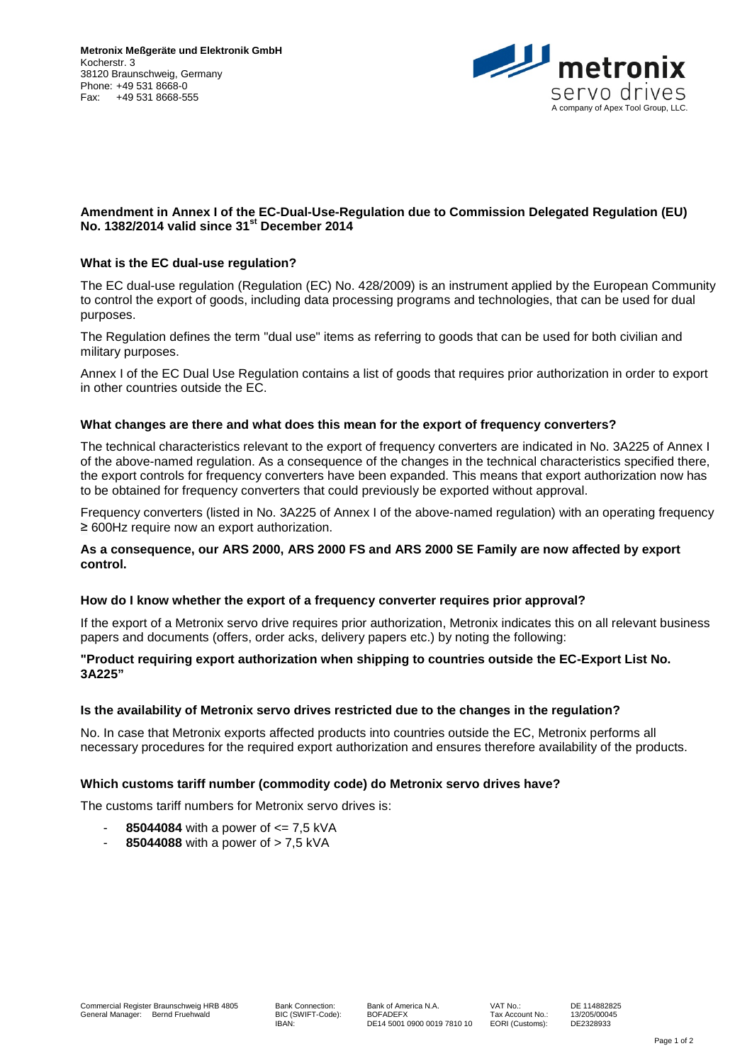

# **Amendment in Annex I of the EC-Dual-Use-Regulation due to Commission Delegated Regulation (EU) No. 1382/2014 valid since 31st December 2014**

## **What is the EC dual-use regulation?**

The EC dual-use regulation (Regulation (EC) No. 428/2009) is an instrument applied by the European Community to control the export of goods, including data processing programs and technologies, that can be used for dual purposes.

The Regulation defines the term "dual use" items as referring to goods that can be used for both civilian and military purposes.

Annex I of the EC Dual Use Regulation contains a list of goods that requires prior authorization in order to export in other countries outside the EC.

#### **What changes are there and what does this mean for the export of frequency converters?**

The technical characteristics relevant to the export of frequency converters are indicated in No. 3A225 of Annex I of the above-named regulation. As a consequence of the changes in the technical characteristics specified there, the export controls for frequency converters have been expanded. This means that export authorization now has to be obtained for frequency converters that could previously be exported without approval.

Frequency converters (listed in No. 3A225 of Annex I of the above-named regulation) with an operating frequency ≥ 600Hz require now an export authorization.

### **As a consequence, our ARS 2000, ARS 2000 FS and ARS 2000 SE Family are now affected by export control.**

#### **How do I know whether the export of a frequency converter requires prior approval?**

If the export of a Metronix servo drive requires prior authorization, Metronix indicates this on all relevant business papers and documents (offers, order acks, delivery papers etc.) by noting the following:

### **"Product requiring export authorization when shipping to countries outside the EC-Export List No. 3A225"**

## **Is the availability of Metronix servo drives restricted due to the changes in the regulation?**

No. In case that Metronix exports affected products into countries outside the EC, Metronix performs all necessary procedures for the required export authorization and ensures therefore availability of the products.

#### **Which customs tariff number (commodity code) do Metronix servo drives have?**

The customs tariff numbers for Metronix servo drives is:

- **85044084** with a power of  $\leq$  7,5 kVA
- **85044088** with a power of  $> 7.5$  kVA